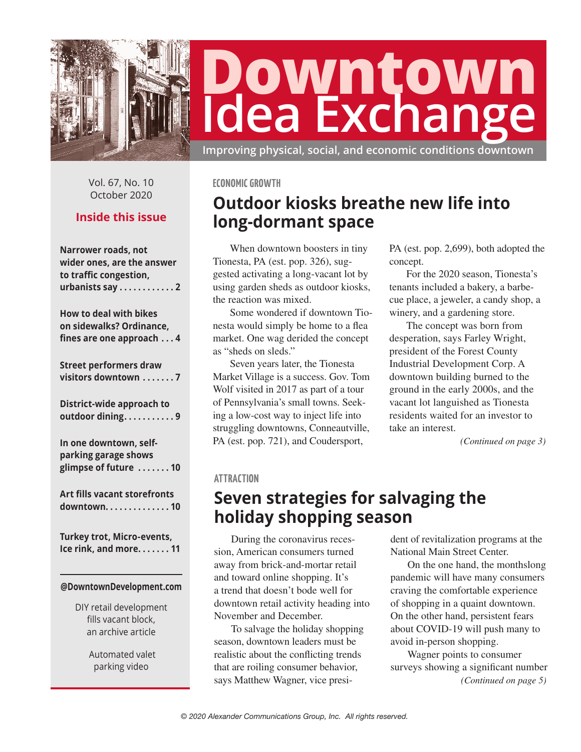

# **Downtown Idea Exchange**

**Improving physical, social, and economic conditions downtown**

Vol. 67, No. 10 October 2020

## **Inside this issue**

| Narrower roads, not                 |
|-------------------------------------|
| wider ones, are the answer          |
| to traffic congestion,              |
| urbanists say 2                     |
|                                     |
|                                     |
| <b>How to deal with bikes</b>       |
| on sidewalks? Ordinance,            |
| fines are one approach 4            |
|                                     |
| <b>Street performers draw</b>       |
| visitors downtown 7                 |
|                                     |
|                                     |
| District-wide approach to           |
| outdoor dining9                     |
|                                     |
| In one downtown, self-              |
| parking garage shows                |
| glimpse of future 10                |
|                                     |
|                                     |
| <b>Art fills vacant storefronts</b> |
| downtown. 10                        |
|                                     |
|                                     |
| Turkey trot, Micro-events,          |
| Ice rink, and more. 11              |
|                                     |
|                                     |
| @DowntownDevelopment.com            |
|                                     |

DIY retail development fills vacant block, an archive article

> Automated valet parking video

#### **ECONOMIC GROWTH**

# **Outdoor kiosks breathe new life into long-dormant space**

When downtown boosters in tiny Tionesta, PA (est. pop. 326), suggested activating a long-vacant lot by using garden sheds as outdoor kiosks, the reaction was mixed.

Some wondered if downtown Tionesta would simply be home to a flea market. One wag derided the concept as "sheds on sleds."

Seven years later, the Tionesta Market Village is a success. Gov. Tom Wolf visited in 2017 as part of a tour of Pennsylvania's small towns. Seeking a low-cost way to inject life into struggling downtowns, Conneautville, PA (est. pop. 721), and Coudersport,

PA (est. pop. 2,699), both adopted the concept.

For the 2020 season, Tionesta's tenants included a bakery, a barbecue place, a jeweler, a candy shop, a winery, and a gardening store.

The concept was born from desperation, says Farley Wright, president of the Forest County Industrial Development Corp. A downtown building burned to the ground in the early 2000s, and the vacant lot languished as Tionesta residents waited for an investor to take an interest.

*(Continued on page 3)*

### **ATTRACTION**

## **Seven strategies for salvaging the holiday shopping season**

During the coronavirus recession, American consumers turned away from brick-and-mortar retail and toward online shopping. It's a trend that doesn't bode well for downtown retail activity heading into November and December.

To salvage the holiday shopping season, downtown leaders must be realistic about the conflicting trends that are roiling consumer behavior, says Matthew Wagner, vice president of revitalization programs at the National Main Street Center.

On the one hand, the monthslong pandemic will have many consumers craving the comfortable experience of shopping in a quaint downtown. On the other hand, persistent fears about COVID-19 will push many to avoid in-person shopping.

*(Continued on page 5)* Wagner points to consumer surveys showing a significant number